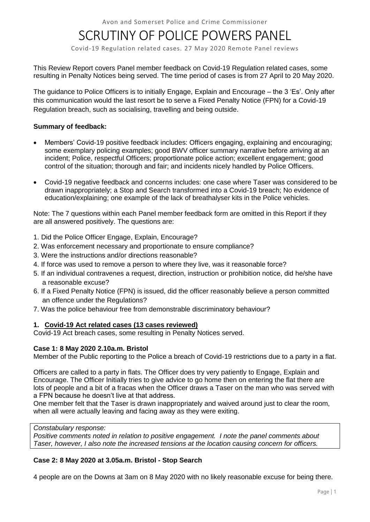# SCRUTINY OF POLICE POWERS PANEL

Covid-19 Regulation related cases. 27 May 2020 Remote Panel reviews

This Review Report covers Panel member feedback on Covid-19 Regulation related cases, some resulting in Penalty Notices being served. The time period of cases is from 27 April to 20 May 2020.

The guidance to Police Officers is to initially Engage, Explain and Encourage – the 3 'Es'. Only after this communication would the last resort be to serve a Fixed Penalty Notice (FPN) for a Covid-19 Regulation breach, such as socialising, travelling and being outside.

## **Summary of feedback:**

- Members' Covid-19 positive feedback includes: Officers engaging, explaining and encouraging; some exemplary policing examples; good BWV officer summary narrative before arriving at an incident; Police, respectful Officers; proportionate police action; excellent engagement; good control of the situation; thorough and fair; and incidents nicely handled by Police Officers.
- Covid-19 negative feedback and concerns includes: one case where Taser was considered to be drawn inappropriately; a Stop and Search transformed into a Covid-19 breach; No evidence of education/explaining; one example of the lack of breathalyser kits in the Police vehicles.

Note: The 7 questions within each Panel member feedback form are omitted in this Report if they are all answered positively. The questions are:

- 1. Did the Police Officer Engage, Explain, Encourage?
- 2. Was enforcement necessary and proportionate to ensure compliance?
- 3. Were the instructions and/or directions reasonable?
- 4. If force was used to remove a person to where they live, was it reasonable force?
- 5. If an individual contravenes a request, direction, instruction or prohibition notice, did he/she have a reasonable excuse?
- 6. If a Fixed Penalty Notice (FPN) is issued, did the officer reasonably believe a person committed an offence under the Regulations?
- 7. Was the police behaviour free from demonstrable discriminatory behaviour?

## **1. Covid-19 Act related cases (13 cases reviewed)**

Covid-19 Act breach cases, some resulting in Penalty Notices served.

## **Case 1: 8 May 2020 2.10a.m. Bristol**

Member of the Public reporting to the Police a breach of Covid-19 restrictions due to a party in a flat.

Officers are called to a party in flats. The Officer does try very patiently to Engage, Explain and Encourage. The Officer Initially tries to give advice to go home then on entering the flat there are lots of people and a bit of a fracas when the Officer draws a Taser on the man who was served with a FPN because he doesn't live at that address.

One member felt that the Taser is drawn inappropriately and waived around just to clear the room, when all were actually leaving and facing away as they were exiting.

*Constabulary response:*

*Positive comments noted in relation to positive engagement. I note the panel comments about Taser, however, I also note the increased tensions at the location causing concern for officers.* 

## **Case 2: 8 May 2020 at 3.05a.m. Bristol - Stop Search**

4 people are on the Downs at 3am on 8 May 2020 with no likely reasonable excuse for being there.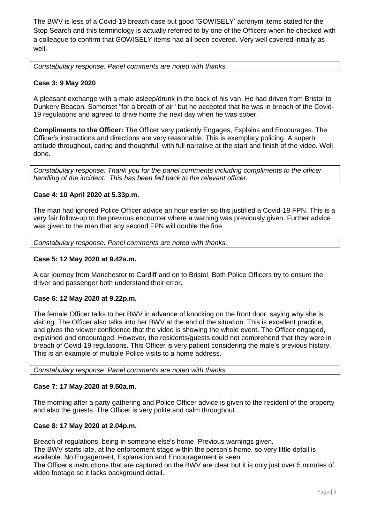The BWV is less of a Covid-19 breach case but good 'GOWISELY' acronym items stated for the Stop Search and this terminology is actually referred to by one of the Officers when he checked with a colleague to confirm that GOWISELY items had all been covered. Very well covered initially as well.

*Constabulary response: Panel comments are noted with thanks.*

## **Case 3: 9 May 2020**

A pleasant exchange with a male asleep/drunk in the back of his van. He had driven from Bristol to Dunkery Beacon, Somerset "for a breath of air" but he accepted that he was in breach of the Covid-19 regulations and agreed to drive home the next day when he was sober.

**Compliments to the Officer:** The Officer very patiently Engages, Explains and Encourages. The Officer's instructions and directions are very reasonable. This is exemplary policing. A superb attitude throughout, caring and thoughtful, with full narrative at the start and finish of the video. Well done.

*Constabulary response: Thank you for the panel comments including compliments to the officer handling of the incident. This has been fed back to the relevant officer.*

#### **Case 4: 10 April 2020 at 5.33p.m.**

The man had ignored Police Officer advice an hour earlier so this justified a Covid-19 FPN. This is a very fair follow-up to the previous encounter where a warning was previously given. Further advice was given to the man that any second FPN will double the fine.

*Constabulary response: Panel comments are noted with thanks.*

#### **Case 5: 12 May 2020 at 9.42a.m.**

A car journey from Manchester to Cardiff and on to Bristol. Both Police Officers try to ensure the driver and passenger both understand their error.

#### **Case 6: 12 May 2020 at 9.22p.m.**

The female Officer talks to her BWV in advance of knocking on the front door, saying why she is visiting. The Officer also talks into her BWV at the end of the situation. This is excellent practice, and gives the viewer confidence that the video is showing the whole event. The Officer engaged, explained and encouraged. However, the residents/guests could not comprehend that they were in breach of Covid-19 regulations. This Officer is very patient considering the male's previous history. This is an example of multiple Police visits to a home address.

*Constabulary response: Panel comments are noted with thanks.*

#### **Case 7: 17 May 2020 at 9.50a.m.**

The morning after a party gathering and Police Officer advice is given to the resident of the property and also the guests. The Officer is very polite and calm throughout.

#### **Case 8: 17 May 2020 at 2.04p.m.**

Breach of regulations, being in someone else's home. Previous warnings given. The BWV starts late, at the enforcement stage within the person's home, so very little detail is available. No Engagement, Explanation and Encouragement is seen. The Officer's instructions that are captured on the BWV are clear but it is only just over 5 minutes of video footage so it lacks background detail.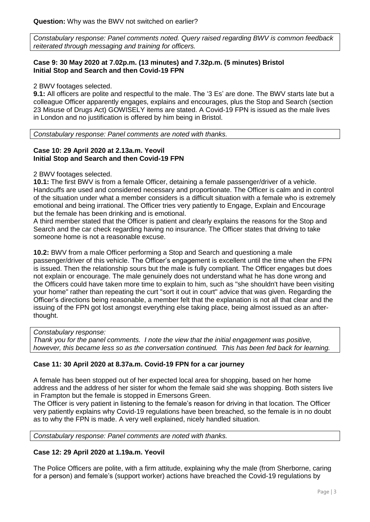*Constabulary response: Panel comments noted. Query raised regarding BWV is common feedback reiterated through messaging and training for officers.*

## **Case 9: 30 May 2020 at 7.02p.m. (13 minutes) and 7.32p.m. (5 minutes) Bristol Initial Stop and Search and then Covid-19 FPN**

2 BWV footages selected.

**9.1:** All officers are polite and respectful to the male. The '3 Es' are done. The BWV starts late but a colleague Officer apparently engages, explains and encourages, plus the Stop and Search (section 23 Misuse of Drugs Act) GOWISELY items are stated. A Covid-19 FPN is issued as the male lives in London and no justification is offered by him being in Bristol.

*Constabulary response: Panel comments are noted with thanks.*

#### **Case 10: 29 April 2020 at 2.13a.m. Yeovil Initial Stop and Search and then Covid-19 FPN**

#### 2 BWV footages selected.

**10.1:** The first BWV is from a female Officer, detaining a female passenger/driver of a vehicle. Handcuffs are used and considered necessary and proportionate. The Officer is calm and in control of the situation under what a member considers is a difficult situation with a female who is extremely emotional and being irrational. The Officer tries very patiently to Engage, Explain and Encourage but the female has been drinking and is emotional.

A third member stated that the Officer is patient and clearly explains the reasons for the Stop and Search and the car check regarding having no insurance. The Officer states that driving to take someone home is not a reasonable excuse.

**10.2:** BWV from a male Officer performing a Stop and Search and questioning a male passenger/driver of this vehicle. The Officer's engagement is excellent until the time when the FPN is issued. Then the relationship sours but the male is fully compliant. The Officer engages but does not explain or encourage. The male genuinely does not understand what he has done wrong and the Officers could have taken more time to explain to him, such as "she shouldn't have been visiting your home" rather than repeating the curt "sort it out in court" advice that was given. Regarding the Officer's directions being reasonable, a member felt that the explanation is not all that clear and the issuing of the FPN got lost amongst everything else taking place, being almost issued as an afterthought.

#### *Constabulary response:*

*Thank you for the panel comments. I note the view that the initial engagement was positive, however, this became less so as the conversation continued. This has been fed back for learning.*

## **Case 11: 30 April 2020 at 8.37a.m. Covid-19 FPN for a car journey**

A female has been stopped out of her expected local area for shopping, based on her home address and the address of her sister for whom the female said she was shopping. Both sisters live in Frampton but the female is stopped in Emersons Green.

The Officer is very patient in listening to the female's reason for driving in that location. The Officer very patiently explains why Covid-19 regulations have been breached, so the female is in no doubt as to why the FPN is made. A very well explained, nicely handled situation.

*Constabulary response: Panel comments are noted with thanks.*

## **Case 12: 29 April 2020 at 1.19a.m. Yeovil**

The Police Officers are polite, with a firm attitude, explaining why the male (from Sherborne, caring for a person) and female's (support worker) actions have breached the Covid-19 regulations by